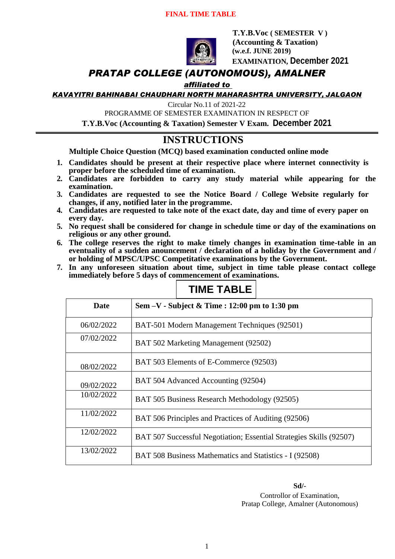### **FINAL TIME TABLE**



 **T.Y.B.Voc ( SEMESTER V ) (Accounting & Taxation) (w.e.f. JUNE 2019) EXAMINATION, December 2021**

# *PRATAP COLLEGE (AUTONOMOUS), AMALNER*

## *affiliated to*

*KAVAYITRI BAHINABAI CHAUDHARI NORTH MAHARASHTRA UNIVERSITY, JALGAON*

Circular No.11 of 2021-22

PROGRAMME OF SEMESTER EXAMINATION IN RESPECT OF

**T.Y.B.Voc (Accounting & Taxation) Semester V Exam. December 2021**

# **INSTRUCTIONS**

**Multiple Choice Question (MCQ) based examination conducted online mode**

- **1. Candidates should be present at their respective place where internet connectivity is proper before the scheduled time of examination.**
- **2. Candidates are forbidden to carry any study material while appearing for the examination.**
- **3. Candidates are requested to see the Notice Board / College Website regularly for changes, if any, notified later in the programme.**
- **4. Candidates are requested to take note of the exact date, day and time of every paper on every day.**
- **5. No request shall be considered for change in schedule time or day of the examinations on religious or any other ground.**
- **6. The college reserves the right to make timely changes in examination time-table in an eventuality of a sudden anouncement / declaration of a holiday by the Government and / or holding of MPSC/UPSC Competitative examinations by the Government.**
- **7. In any unforeseen situation about time, subject in time table please contact college immediately before 5 days of commencement of examinations.**

| Date       | Sem $-V$ - Subject & Time : 12:00 pm to 1:30 pm                     |
|------------|---------------------------------------------------------------------|
| 06/02/2022 | BAT-501 Modern Management Techniques (92501)                        |
| 07/02/2022 | BAT 502 Marketing Management (92502)                                |
| 08/02/2022 | BAT 503 Elements of E-Commerce (92503)                              |
| 09/02/2022 | BAT 504 Advanced Accounting (92504)                                 |
| 10/02/2022 | BAT 505 Business Research Methodology (92505)                       |
| 11/02/2022 | BAT 506 Principles and Practices of Auditing (92506)                |
| 12/02/2022 | BAT 507 Successful Negotiation; Essential Strategies Skills (92507) |
| 13/02/2022 | BAT 508 Business Mathematics and Statistics - I (92508)             |

# **TIME TABLE**

**Sd/-** Controllor of Examination, Pratap College, Amalner (Autonomous)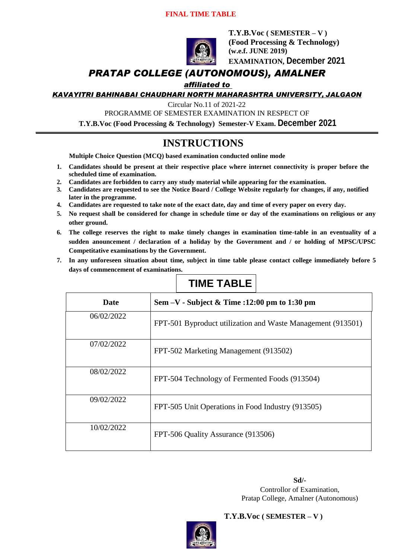## **FINAL TIME TABLE**



**T.Y.B.Voc ( SEMESTER – V ) (Food Processing & Technology) (w.e.f. JUNE 2019) EXAMINATION, December 2021**

# *PRATAP COLLEGE (AUTONOMOUS), AMALNER*

*affiliated to* 

*KAVAYITRI BAHINABAI CHAUDHARI NORTH MAHARASHTRA UNIVERSITY, JALGAON*

Circular No.11 of 2021-22

PROGRAMME OF SEMESTER EXAMINATION IN RESPECT OF

**T.Y.B.Voc (Food Processing & Technology) Semester-V Exam. December 2021**

# **INSTRUCTIONS**

**Multiple Choice Question (MCQ) based examination conducted online mode**

- **1. Candidates should be present at their respective place where internet connectivity is proper before the scheduled time of examination.**
- **2. Candidates are forbidden to carry any study material while appearing for the examination.**
- **3. Candidates are requested to see the Notice Board / College Website regularly for changes, if any, notified later in the programme.**
- **4. Candidates are requested to take note of the exact date, day and time of every paper on every day.**
- **5. No request shall be considered for change in schedule time or day of the examinations on religious or any other ground.**
- **6. The college reserves the right to make timely changes in examination time-table in an eventuality of a sudden anouncement / declaration of a holiday by the Government and / or holding of MPSC/UPSC Competitative examinations by the Government.**
- **7. In any unforeseen situation about time, subject in time table please contact college immediately before 5 days of commencement of examinations.**

| Date       | Sem $-V$ - Subject & Time :12:00 pm to 1:30 pm              |                                                |  |
|------------|-------------------------------------------------------------|------------------------------------------------|--|
| 06/02/2022 | FPT-501 Byproduct utilization and Waste Management (913501) |                                                |  |
| 07/02/2022 |                                                             | FPT-502 Marketing Management (913502)          |  |
| 08/02/2022 |                                                             | FPT-504 Technology of Fermented Foods (913504) |  |
| 09/02/2022 | FPT-505 Unit Operations in Food Industry (913505)           |                                                |  |
| 10/02/2022 |                                                             | FPT-506 Quality Assurance (913506)             |  |

# **TIME TABLE**

**Sd/-** Controllor of Examination, Pratap College, Amalner (Autonomous)



## **T.Y.B.Voc ( SEMESTER – V )**